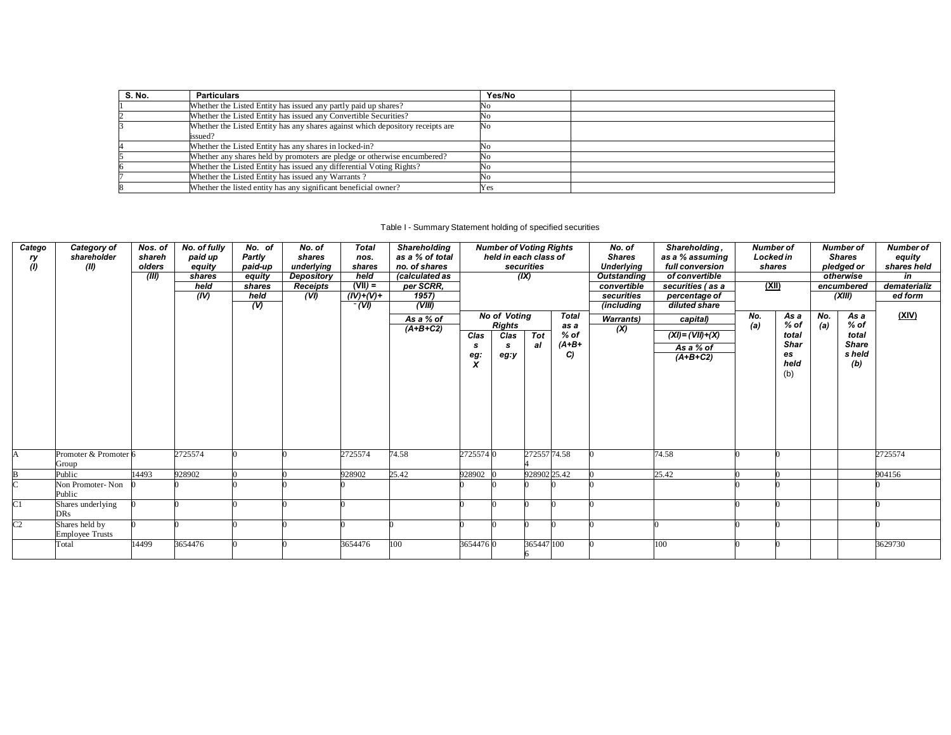| S. No. | <b>Particulars</b>                                                                        | Yes/No |  |
|--------|-------------------------------------------------------------------------------------------|--------|--|
|        | Whether the Listed Entity has issued any partly paid up shares?                           | No     |  |
|        | Whether the Listed Entity has issued any Convertible Securities?                          | No     |  |
|        | Whether the Listed Entity has any shares against which depository receipts are<br>issued? | No     |  |
|        | Whether the Listed Entity has any shares in locked-in?                                    | Νo     |  |
|        | Whether any shares held by promoters are pledge or otherwise encumbered?                  | No     |  |
|        | Whether the Listed Entity has issued any differential Voting Rights?                      | No     |  |
|        | Whether the Listed Entity has issued any Warrants?                                        | No     |  |
|        | Whether the listed entity has any significant beneficial owner?                           | Yes    |  |

## Table I - Summary Statement holding of specified securities

| Catego<br>ry<br>(1) | Category of<br>shareholder<br>(II)       | Nos. of<br>shareh<br>olders<br>(III) | No. of fully<br>paid up<br>equity<br>shares<br>held<br>(IV) | No. of<br>Partly<br>paid-up<br>equity<br>shares<br>held<br>$\overline{\omega}$ | No. of<br>shares<br>underlying<br>Depository<br><b>Receipts</b><br>(VI) | <b>Total</b><br>nos.<br>shares<br>held<br>$(VII) =$<br>$(IV)+(V) +$<br>$\overline{(V)}$ | Shareholding<br>as a % of total<br>no. of shares<br>(calculated as<br>per SCRR,<br>1957<br>(VIII)<br>As a % of<br>$(A+B+C2)$ | <b>Number of Voting Rights</b><br>held in each class of<br>securities<br>(IX)<br><b>No of Voting</b><br>Total<br><b>Rights</b><br>as a<br>$%$ of<br><b>Tot</b><br>Clas<br>Clas |           | No. of<br><b>Shares</b><br><b>Underlying</b><br><b>Outstanding</b><br>convertible<br>securities<br>(including<br><b>Warrants</b> )<br>(X) | Shareholding,<br>as a % assuming<br>full conversion<br>of convertible<br>securities (as a<br>percentage of<br>diluted share<br>capital)<br>$(XI) = (VII) + (X)$ | <b>Number of</b><br>No.<br>(a) | <b>Locked in</b><br>shares<br>(XII)<br>As a<br>% of<br>total |  | <b>Number of</b><br><b>Shares</b><br>pledged or<br>otherwise<br>encumbered<br>(XIII)<br>As a<br>$%$ of<br>total | <b>Number of</b><br>equity<br>shares held<br>in<br>dematerializ<br>ed form<br>(XIV) |                               |         |
|---------------------|------------------------------------------|--------------------------------------|-------------------------------------------------------------|--------------------------------------------------------------------------------|-------------------------------------------------------------------------|-----------------------------------------------------------------------------------------|------------------------------------------------------------------------------------------------------------------------------|--------------------------------------------------------------------------------------------------------------------------------------------------------------------------------|-----------|-------------------------------------------------------------------------------------------------------------------------------------------|-----------------------------------------------------------------------------------------------------------------------------------------------------------------|--------------------------------|--------------------------------------------------------------|--|-----------------------------------------------------------------------------------------------------------------|-------------------------------------------------------------------------------------|-------------------------------|---------|
|                     |                                          |                                      |                                                             |                                                                                |                                                                         |                                                                                         |                                                                                                                              | s<br>eg:<br>X                                                                                                                                                                  | s<br>eg:y | al                                                                                                                                        | $(A+B+$<br>C)                                                                                                                                                   |                                | As a % of<br>$(A+B+C2)$                                      |  | <b>Shar</b><br>es<br>held<br>(b)                                                                                |                                                                                     | <b>Share</b><br>s held<br>(b) |         |
|                     | Promoter & Promoter 6<br>Group           |                                      | 2725574                                                     |                                                                                |                                                                         | 2725574                                                                                 | 74.58                                                                                                                        | 27255740                                                                                                                                                                       |           | 272557 74.58                                                                                                                              |                                                                                                                                                                 |                                | 74.58                                                        |  |                                                                                                                 |                                                                                     |                               | 2725574 |
|                     | Public                                   | 14493                                | 928902                                                      |                                                                                |                                                                         | 928902                                                                                  | 25.42                                                                                                                        | 928902                                                                                                                                                                         |           | 92890225.42                                                                                                                               |                                                                                                                                                                 |                                | 25.42                                                        |  |                                                                                                                 |                                                                                     |                               | 904156  |
|                     | Non Promoter-Non<br>Public               |                                      |                                                             |                                                                                |                                                                         |                                                                                         |                                                                                                                              |                                                                                                                                                                                |           |                                                                                                                                           |                                                                                                                                                                 |                                |                                                              |  |                                                                                                                 |                                                                                     |                               |         |
| $\overline{\rm C}1$ | Shares underlying<br><b>DRs</b>          |                                      |                                                             |                                                                                |                                                                         |                                                                                         |                                                                                                                              |                                                                                                                                                                                |           |                                                                                                                                           |                                                                                                                                                                 |                                |                                                              |  |                                                                                                                 |                                                                                     |                               |         |
| C <sub>2</sub>      | Shares held by<br><b>Employee Trusts</b> |                                      |                                                             |                                                                                |                                                                         |                                                                                         |                                                                                                                              |                                                                                                                                                                                |           |                                                                                                                                           |                                                                                                                                                                 |                                |                                                              |  |                                                                                                                 |                                                                                     |                               |         |
|                     | Total                                    | 14499                                | 3654476                                                     |                                                                                |                                                                         | 3654476                                                                                 | 100                                                                                                                          | 36544760                                                                                                                                                                       |           | 365447 100                                                                                                                                |                                                                                                                                                                 |                                | 100                                                          |  |                                                                                                                 |                                                                                     |                               | 3629730 |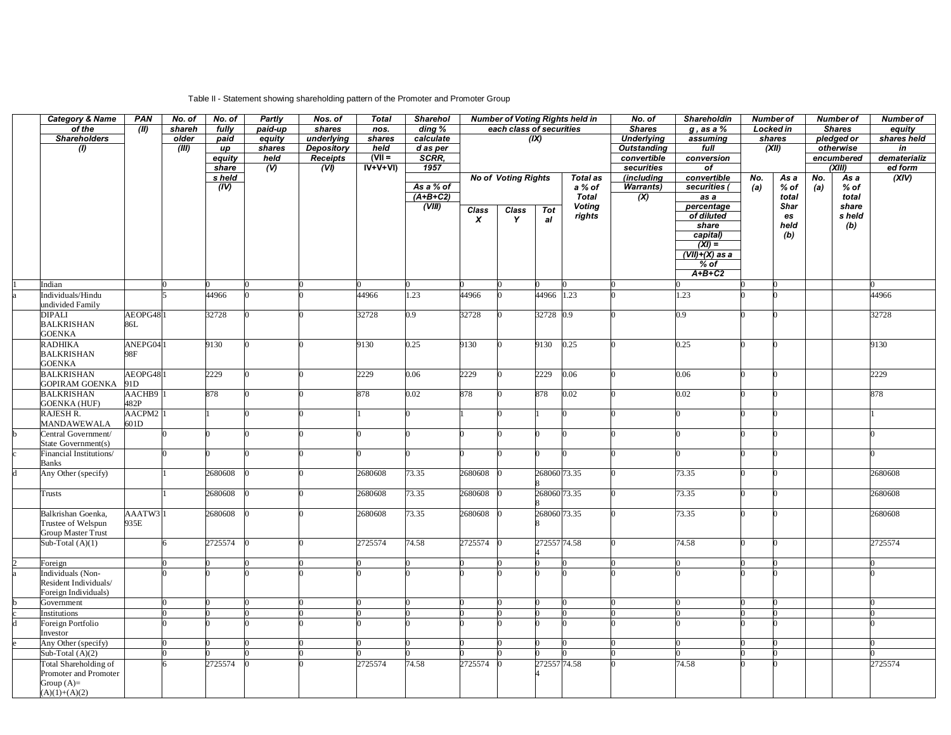## Table II - Statement showing shareholding pattern of the Promoter and Promoter Group

| <b>Category &amp; Name</b>                     | <b>PAN</b>     | No. of | No. of            | Partly              | Nos. of                   | <b>Total</b> | <b>Sharehol</b>         | <b>Number of Voting Rights held in</b> |                            | No. of        | <b>Shareholdin</b><br><b>Number of</b> |                                               |                      | <b>Number of</b> |                 | <b>Number of</b> |                |             |
|------------------------------------------------|----------------|--------|-------------------|---------------------|---------------------------|--------------|-------------------------|----------------------------------------|----------------------------|---------------|----------------------------------------|-----------------------------------------------|----------------------|------------------|-----------------|------------------|----------------|-------------|
| of the                                         | (III)          | shareh | fully             | paid-up             | shares                    | nos.         | $\overline{ding\ %}$    | each class of securities               |                            | <b>Shares</b> | $g$ , as a $%$                         |                                               | <b>Locked in</b>     |                  | <b>Shares</b>   | equity           |                |             |
| <b>Shareholders</b>                            |                | older  | paid              | equity              | underlying                | shares       | calculate               |                                        |                            | (X)           |                                        | <b>Underlying</b>                             | assuming             |                  | shares          |                  | pledged or     | shares held |
| $\overline{\textbf{r}}$                        |                | (III)  | up                | shares              | <b>Depository</b>         | held         | d as per                |                                        |                            |               |                                        | <b>Outstanding</b>                            | full                 |                  | (XII)           |                  | otherwise      | in          |
|                                                |                |        | equity            | held                | <b>Receipts</b>           | $(VII =$     | SCRR.                   |                                        |                            |               |                                        | convertible                                   | conversion           |                  | encumbered      |                  | dematerializ   |             |
|                                                |                |        | share             | $\overline{\omega}$ | $\overline{(\mathsf{V})}$ | $IV+V+VI$    | 1957                    |                                        |                            |               |                                        | securities                                    | of                   |                  |                 |                  | (XIII)         | ed form     |
|                                                |                |        | s held            |                     |                           |              |                         |                                        | <b>No of Voting Rights</b> |               | Total as                               | (including                                    | convertible          | No.              | As a            | No.              | As a<br>$%$ of | (XIV)       |
|                                                |                |        | $\overline{(IV)}$ |                     |                           |              | As a % of<br>$(A+B+C2)$ |                                        |                            |               | a % of<br><b>Total</b>                 | <b>Warrants)</b><br>$\overline{(\mathsf{X})}$ | securities (<br>as a | (a)              | $%$ of<br>total | (a)              | total          |             |
|                                                |                |        |                   |                     |                           |              | (VIII)                  |                                        |                            |               | <b>Voting</b>                          |                                               | percentage           |                  | <b>Shar</b>     |                  | share          |             |
|                                                |                |        |                   |                     |                           |              |                         | Class                                  | Class                      | Tot           | rights                                 |                                               | of diluted           |                  | es              |                  | s held         |             |
|                                                |                |        |                   |                     |                           |              |                         | $\boldsymbol{x}$                       | Y                          | al            |                                        |                                               | share                |                  | held            |                  | (b)            |             |
|                                                |                |        |                   |                     |                           |              |                         |                                        |                            |               |                                        |                                               | capital)             |                  | (b)             |                  |                |             |
|                                                |                |        |                   |                     |                           |              |                         |                                        |                            |               |                                        |                                               | $(XI) =$             |                  |                 |                  |                |             |
|                                                |                |        |                   |                     |                           |              |                         |                                        |                            |               |                                        |                                               | $(VII)+(X)$ as a     |                  |                 |                  |                |             |
|                                                |                |        |                   |                     |                           |              |                         |                                        |                            |               |                                        |                                               | $%$ of               |                  |                 |                  |                |             |
|                                                |                |        |                   |                     |                           |              |                         |                                        |                            |               |                                        |                                               | $A+B+C2$             |                  |                 |                  |                |             |
| Indian                                         |                |        |                   |                     |                           |              |                         |                                        |                            |               |                                        |                                               |                      |                  |                 |                  |                |             |
| Individuals/Hindu                              |                |        | 44966             |                     |                           | 44966        | 1.23                    | 44966                                  |                            | 44966 1.23    |                                        |                                               | 1.23                 |                  |                 |                  |                | 44966       |
| undivided Family                               |                |        |                   |                     |                           |              |                         |                                        |                            |               |                                        |                                               |                      |                  |                 |                  |                |             |
| <b>DIPALI</b><br><b>BALKRISHAN</b>             | AEOPG48<br>86L |        | 32728             |                     |                           | 32728        | 0.9                     | 32728                                  |                            | 32728 0.9     |                                        |                                               | 0.9                  |                  |                 |                  |                | 32728       |
| GOENKA                                         |                |        |                   |                     |                           |              |                         |                                        |                            |               |                                        |                                               |                      |                  |                 |                  |                |             |
| <b>RADHIKA</b>                                 | ANEPG04        |        | 9130              |                     |                           | 9130         | 0.25                    | 9130                                   |                            | 9130          | 0.25                                   |                                               | 0.25                 |                  |                 |                  |                | 9130        |
| <b>BALKRISHAN</b>                              | 98F            |        |                   |                     |                           |              |                         |                                        |                            |               |                                        |                                               |                      |                  |                 |                  |                |             |
| <b>GOENKA</b>                                  |                |        |                   |                     |                           |              |                         |                                        |                            |               |                                        |                                               |                      |                  |                 |                  |                |             |
| <b>BALKRISHAN</b>                              | AEOPG48        |        | 2229              |                     |                           | 2229         | 0.06                    | 2229                                   |                            | 2229          | 0.06                                   |                                               | 0.06                 |                  |                 |                  |                | 2229        |
| <b>GOPIRAM GOENKA</b>                          | 91D            |        |                   |                     |                           |              |                         |                                        |                            |               |                                        |                                               |                      |                  |                 |                  |                |             |
| <b>BALKRISHAN</b>                              | AACHB9         |        | 878               |                     |                           | 878          | 0.02                    | 878                                    |                            | 878           | 0.02                                   |                                               | 0.02                 |                  |                 |                  |                | 878         |
| <b>GOENKA (HUF)</b>                            | 482P           |        |                   |                     |                           |              |                         |                                        |                            |               |                                        |                                               |                      |                  |                 |                  |                |             |
| RAJESH R.                                      | AACPM2         |        |                   |                     |                           |              | 0                       |                                        |                            |               |                                        |                                               |                      |                  |                 |                  |                |             |
| <b>MANDAWEWALA</b>                             | 601D           |        |                   |                     |                           |              |                         |                                        |                            |               |                                        |                                               |                      |                  |                 |                  |                |             |
| Central Government/                            |                |        |                   |                     |                           |              |                         |                                        |                            |               |                                        |                                               |                      |                  |                 |                  |                |             |
| State Government(s)<br>Financial Institutions/ |                |        |                   |                     |                           |              |                         |                                        |                            |               |                                        |                                               |                      |                  |                 |                  |                |             |
| Banks                                          |                |        |                   |                     |                           |              |                         |                                        |                            |               |                                        |                                               |                      |                  |                 |                  |                |             |
| Any Other (specify)                            |                |        | 2680608           |                     |                           | 2680608      | 73.35                   | 2680608                                |                            | 268060 73.35  |                                        |                                               | 73.35                |                  |                 |                  |                | 2680608     |
|                                                |                |        |                   |                     |                           |              |                         |                                        |                            |               |                                        |                                               |                      |                  |                 |                  |                |             |
| Trusts                                         |                |        | 2680608           |                     |                           | 2680608      | 73.35                   | 2680608                                |                            | 268060 73.35  |                                        |                                               | 73.35                |                  |                 |                  |                | 2680608     |
|                                                |                |        |                   |                     |                           |              |                         |                                        |                            |               |                                        |                                               |                      |                  |                 |                  |                |             |
| Balkrishan Goenka,                             | AAATW3         |        | 2680608           |                     |                           | 2680608      | 73.35                   | 2680608                                |                            | 268060 73.35  |                                        |                                               | 73.35                |                  |                 |                  |                | 2680608     |
| Trustee of Welspun                             | 935E           |        |                   |                     |                           |              |                         |                                        |                            |               |                                        |                                               |                      |                  |                 |                  |                |             |
| Group Master Trust                             |                |        |                   |                     |                           |              |                         |                                        |                            |               |                                        |                                               |                      |                  |                 |                  |                |             |
| Sub-Total $(A)(1)$                             |                |        | 2725574           |                     |                           | 2725574      | 74.58                   | 2725574                                |                            | 272557 74.58  |                                        |                                               | 74.58                |                  |                 |                  |                | 2725574     |
| Foreign                                        |                |        |                   |                     |                           |              |                         |                                        |                            |               |                                        |                                               |                      |                  |                 |                  |                |             |
| Individuals (Non-                              |                |        |                   |                     |                           |              |                         |                                        |                            |               |                                        |                                               |                      |                  |                 |                  |                |             |
| Resident Individuals/                          |                |        |                   |                     |                           |              |                         |                                        |                            |               |                                        |                                               |                      |                  |                 |                  |                |             |
| Foreign Individuals)                           |                |        |                   |                     |                           |              |                         |                                        |                            |               |                                        |                                               |                      |                  |                 |                  |                |             |
| Government                                     |                |        |                   |                     |                           |              | 0                       |                                        |                            |               |                                        |                                               |                      |                  |                 |                  |                |             |
| Institutions                                   |                |        |                   |                     |                           |              |                         |                                        |                            |               |                                        |                                               |                      |                  |                 |                  |                |             |
| Foreign Portfolio                              |                |        |                   |                     |                           |              |                         |                                        |                            |               |                                        |                                               |                      |                  |                 |                  |                |             |
| Investor                                       |                |        |                   |                     |                           |              |                         |                                        |                            |               |                                        |                                               |                      |                  |                 |                  |                |             |
| Any Other (specify)                            |                |        |                   |                     |                           |              |                         |                                        |                            |               |                                        |                                               |                      |                  |                 |                  |                |             |
| Sub-Total $(A)(2)$                             |                |        |                   |                     |                           |              |                         |                                        |                            |               |                                        |                                               |                      |                  |                 |                  |                |             |
| Total Shareholding of                          |                |        | 2725574           |                     |                           | 2725574      | 74.58                   | 2725574                                |                            | 272557 74.58  |                                        |                                               | 74.58                |                  |                 |                  |                | 2725574     |
| Promoter and Promoter<br>Group $(A)=$          |                |        |                   |                     |                           |              |                         |                                        |                            |               |                                        |                                               |                      |                  |                 |                  |                |             |
| $(A)(1)+(A)(2)$                                |                |        |                   |                     |                           |              |                         |                                        |                            |               |                                        |                                               |                      |                  |                 |                  |                |             |
|                                                |                |        |                   |                     |                           |              |                         |                                        |                            |               |                                        |                                               |                      |                  |                 |                  |                |             |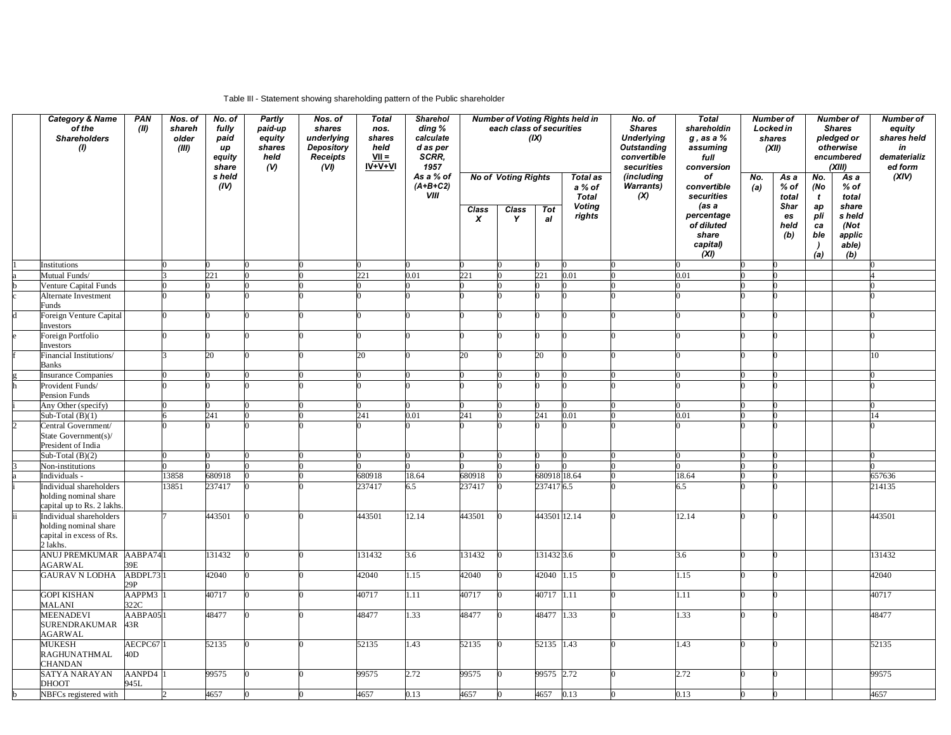## Table III - Statement showing shareholding pattern of the Public shareholder

|   | <b>Category &amp; Name</b><br>of the<br><b>Shareholders</b><br>(1)                       | PAN<br>(II)    | Nos. of<br>shareh<br>older<br>(III) | No. of<br>fully<br>paid<br>иp<br>equity<br>share | Partly<br>paid-up<br>equity<br>shares<br>held<br>(V) | Nos. of<br>shares<br>underlying<br><b>Depository</b><br><b>Receipts</b><br>(V) | <b>Total</b><br>nos.<br>shares<br>held<br>$VII =$<br>IV+V+VI | Sharehol<br>ding %<br>calculate<br>d as per<br>SCRR,<br>1957 |                                  | each class of securities                        | (IX)             | <b>Number of Voting Rights held in</b>                               | No. of<br><b>Shares</b><br><b>Underlying</b><br><b>Outstanding</b><br>convertible<br>securities | <b>Total</b><br>shareholdin<br>$g$ , as a $%$<br>assuming<br>full<br>conversion                   |            | <b>Number of</b><br>Locked in<br>shares<br>(XII)          |                                                                               | <b>Number of</b><br><b>Shares</b><br>pledged or<br>otherwise<br>encumbered<br>(XIII) | Number of<br>equity<br>shares held<br>in<br>dematerializ<br>ed form |
|---|------------------------------------------------------------------------------------------|----------------|-------------------------------------|--------------------------------------------------|------------------------------------------------------|--------------------------------------------------------------------------------|--------------------------------------------------------------|--------------------------------------------------------------|----------------------------------|-------------------------------------------------|------------------|----------------------------------------------------------------------|-------------------------------------------------------------------------------------------------|---------------------------------------------------------------------------------------------------|------------|-----------------------------------------------------------|-------------------------------------------------------------------------------|--------------------------------------------------------------------------------------|---------------------------------------------------------------------|
|   |                                                                                          |                |                                     | s held<br>(IV)                                   |                                                      |                                                                                |                                                              | As a % of<br>$(A+B+C2)$<br>VIII                              | <b>Class</b><br>$\boldsymbol{x}$ | <b>No of Voting Rights</b><br><b>Class</b><br>Y | <b>Tot</b><br>al | <b>Total as</b><br>a % of<br><b>Total</b><br><b>Voting</b><br>rights | (including<br>Warrants)<br>(X)                                                                  | of<br>convertible<br>securities<br>(as a<br>percentage<br>of diluted<br>share<br>capital)<br>(XI) | No.<br>(a) | As a<br>% of<br>total<br><b>Shar</b><br>es<br>held<br>(b) | No.<br>(No<br>$\mathbf{t}$<br>ap<br>pli<br>ca<br>ble<br>$\overline{)}$<br>(a) | As a<br>$%$ of<br>total<br>share<br>s held<br>(Not<br>applic<br>able)<br>(b)         | (XIV)                                                               |
|   | Institutions                                                                             |                |                                     |                                                  |                                                      |                                                                                |                                                              |                                                              |                                  |                                                 |                  |                                                                      |                                                                                                 |                                                                                                   |            |                                                           |                                                                               |                                                                                      |                                                                     |
|   | Mutual Funds/                                                                            |                |                                     | 221                                              |                                                      |                                                                                | 221                                                          | 0.01                                                         | 221                              |                                                 | 221              | 0.01                                                                 |                                                                                                 | 0.01                                                                                              |            |                                                           |                                                                               |                                                                                      |                                                                     |
|   | Venture Capital Funds                                                                    |                |                                     |                                                  |                                                      |                                                                                |                                                              |                                                              | 0                                |                                                 |                  |                                                                      |                                                                                                 |                                                                                                   |            |                                                           |                                                                               |                                                                                      |                                                                     |
|   | Alternate Investment<br>Funds                                                            |                |                                     |                                                  |                                                      |                                                                                |                                                              |                                                              |                                  |                                                 |                  |                                                                      |                                                                                                 |                                                                                                   |            |                                                           |                                                                               |                                                                                      |                                                                     |
|   | Foreign Venture Capital<br>Investors                                                     |                |                                     |                                                  |                                                      |                                                                                |                                                              |                                                              |                                  |                                                 |                  |                                                                      |                                                                                                 |                                                                                                   |            |                                                           |                                                                               |                                                                                      |                                                                     |
|   | Foreign Portfolio<br>Investors                                                           |                |                                     |                                                  |                                                      |                                                                                |                                                              |                                                              |                                  |                                                 |                  |                                                                      |                                                                                                 |                                                                                                   |            |                                                           |                                                                               |                                                                                      |                                                                     |
|   | Financial Institutions/                                                                  |                |                                     | 20                                               |                                                      |                                                                                | 20                                                           |                                                              | 20                               |                                                 | 20               |                                                                      |                                                                                                 |                                                                                                   |            |                                                           |                                                                               |                                                                                      | 10                                                                  |
|   | Banks<br>Insurance Companies                                                             |                |                                     |                                                  |                                                      |                                                                                |                                                              |                                                              |                                  |                                                 |                  |                                                                      |                                                                                                 | 0                                                                                                 |            |                                                           |                                                                               |                                                                                      |                                                                     |
|   | Provident Funds/                                                                         |                |                                     |                                                  |                                                      |                                                                                |                                                              |                                                              |                                  |                                                 |                  |                                                                      |                                                                                                 |                                                                                                   |            |                                                           |                                                                               |                                                                                      |                                                                     |
|   | <b>Pension Funds</b>                                                                     |                |                                     |                                                  |                                                      |                                                                                |                                                              |                                                              |                                  |                                                 |                  |                                                                      |                                                                                                 |                                                                                                   |            |                                                           |                                                                               |                                                                                      |                                                                     |
|   | Any Other (specify)                                                                      |                |                                     |                                                  |                                                      |                                                                                |                                                              |                                                              |                                  |                                                 |                  |                                                                      |                                                                                                 |                                                                                                   |            |                                                           |                                                                               |                                                                                      |                                                                     |
|   | Sub-Total $(B)(1)$                                                                       |                |                                     | 241                                              |                                                      |                                                                                | 241                                                          | 0.01                                                         | 241                              |                                                 | 241              | 0.01                                                                 |                                                                                                 | 0.01                                                                                              |            |                                                           |                                                                               |                                                                                      | 14                                                                  |
|   | Central Government/<br>State Government(s)/                                              |                |                                     |                                                  |                                                      |                                                                                |                                                              |                                                              |                                  |                                                 |                  |                                                                      |                                                                                                 |                                                                                                   |            |                                                           |                                                                               |                                                                                      |                                                                     |
|   | President of India                                                                       |                |                                     |                                                  |                                                      |                                                                                |                                                              |                                                              |                                  |                                                 |                  |                                                                      |                                                                                                 |                                                                                                   |            |                                                           |                                                                               |                                                                                      |                                                                     |
|   | Sub-Total $(B)(2)$                                                                       |                |                                     |                                                  |                                                      |                                                                                |                                                              |                                                              |                                  |                                                 |                  |                                                                      |                                                                                                 |                                                                                                   |            |                                                           |                                                                               |                                                                                      |                                                                     |
|   | Non-institutions                                                                         |                |                                     |                                                  |                                                      |                                                                                |                                                              |                                                              |                                  |                                                 |                  |                                                                      |                                                                                                 |                                                                                                   |            |                                                           |                                                                               |                                                                                      |                                                                     |
|   | Individuals -                                                                            |                | 3858                                | 680918                                           |                                                      |                                                                                | 680918                                                       | 18.64                                                        | 680918                           |                                                 | 680918 18.64     |                                                                      |                                                                                                 | 18.64                                                                                             |            |                                                           |                                                                               |                                                                                      | 657636                                                              |
|   | Individual shareholders<br>holding nominal share<br>capital up to Rs. 2 lakhs            |                | 13851                               | 237417                                           |                                                      |                                                                                | 237417                                                       | 6.5                                                          | 237417                           |                                                 | 2374176.5        |                                                                      |                                                                                                 | 6.5                                                                                               |            |                                                           |                                                                               |                                                                                      | 214135                                                              |
|   | Individual shareholders<br>holding nominal share<br>capital in excess of Rs.<br>2 lakhs. |                |                                     | 443501                                           |                                                      |                                                                                | 443501                                                       | 12.14                                                        | 443501                           |                                                 | 443501 12.14     |                                                                      |                                                                                                 | 12.14                                                                                             |            |                                                           |                                                                               |                                                                                      | 443501                                                              |
|   | ANUJ PREMKUMAR AABPA74<br><b>AGARWAL</b>                                                 | 39E            |                                     | 131432                                           |                                                      |                                                                                | 131432                                                       | 3.6                                                          | 31432                            |                                                 | 131432 3.6       |                                                                      |                                                                                                 | 3.6                                                                                               |            |                                                           |                                                                               |                                                                                      | 131432                                                              |
|   | <b>GAURAV N LODHA</b>                                                                    | ABDPL73<br>29P |                                     | 42040                                            |                                                      |                                                                                | 42040                                                        | 1.15                                                         | 42040                            |                                                 | 42040 1.15       |                                                                      |                                                                                                 | 1.15                                                                                              |            |                                                           |                                                                               |                                                                                      | 42040                                                               |
|   | <b>GOPI KISHAN</b><br><b>MALANI</b>                                                      | AAPPM3<br>322C |                                     | 40717                                            |                                                      |                                                                                | 40717                                                        | 1.11                                                         | 40717                            |                                                 | 40717 1.11       |                                                                      |                                                                                                 | 1.11                                                                                              |            |                                                           |                                                                               |                                                                                      | 40717                                                               |
|   | <b>MEENADEVI</b><br><b>SURENDRAKUMAR</b><br><b>AGARWAL</b>                               | AABPA05<br>43R |                                     | 48477                                            |                                                      |                                                                                | 48477                                                        | 1.33                                                         | 48477                            |                                                 | 48477 1.33       |                                                                      |                                                                                                 | 1.33                                                                                              |            |                                                           |                                                                               |                                                                                      | 48477                                                               |
|   | <b>MUKESH</b><br>RAGHUNATHMAL<br><b>CHANDAN</b>                                          | AECPC67<br>40D |                                     | 52135                                            |                                                      |                                                                                | 52135                                                        | 1.43                                                         | 52135                            |                                                 | 52135 1.43       |                                                                      |                                                                                                 | 1.43                                                                                              |            |                                                           |                                                                               |                                                                                      | 52135                                                               |
|   | SATYA NARAYAN<br>DHOOT                                                                   | AANPD4<br>945L |                                     | 99575                                            |                                                      |                                                                                | 99575                                                        | 2.72                                                         | 99575                            |                                                 | 99575 2.72       |                                                                      |                                                                                                 | 2.72                                                                                              |            |                                                           |                                                                               |                                                                                      | 99575                                                               |
| b | NBFCs registered with                                                                    |                |                                     | 4657                                             |                                                      |                                                                                | 4657                                                         | 0.13                                                         | 4657                             |                                                 | 4657             | 0.13                                                                 |                                                                                                 | 0.13                                                                                              |            |                                                           |                                                                               |                                                                                      | 4657                                                                |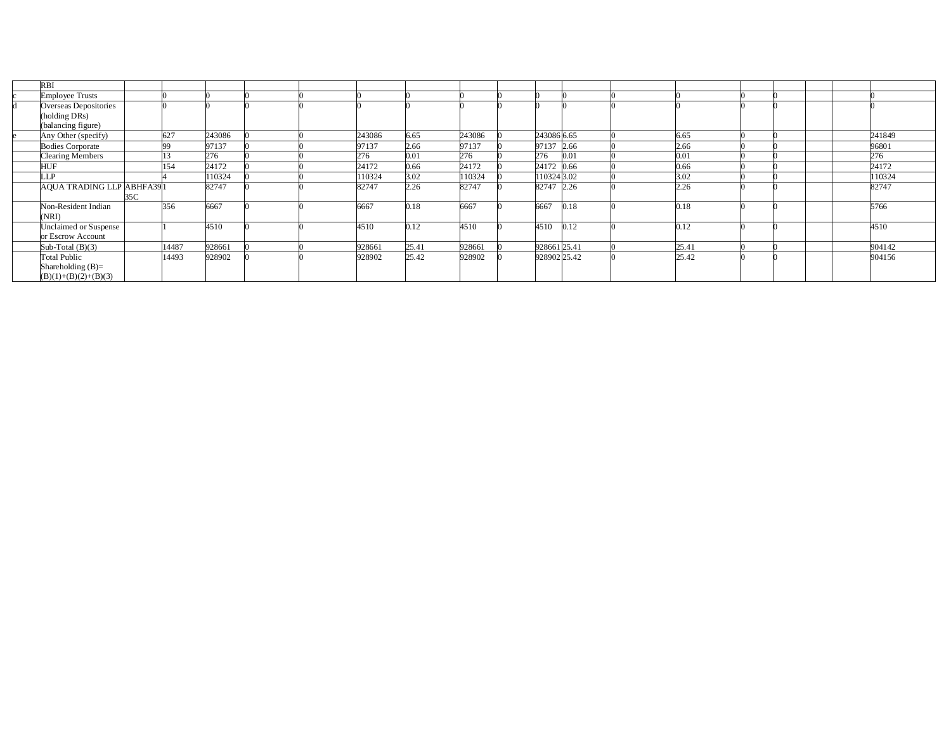| <b>RBI</b>                      |     |           |        |  |        |       |        |              |      |       |  |  |        |
|---------------------------------|-----|-----------|--------|--|--------|-------|--------|--------------|------|-------|--|--|--------|
| <b>Employee Trusts</b>          |     |           |        |  |        |       |        |              |      |       |  |  |        |
| Overseas Depositories           |     |           |        |  |        |       |        |              |      |       |  |  |        |
| (holding DRs)                   |     |           |        |  |        |       |        |              |      |       |  |  |        |
| (balancing figure)              |     |           |        |  |        |       |        |              |      |       |  |  |        |
| Any Other (specify)             |     | 627       | 243086 |  | 243086 | 6.65  | 243086 | 243086 6.65  |      | 6.65  |  |  | 241849 |
| <b>Bodies Corporate</b>         |     | <b>QQ</b> | 97137  |  | 97137  | 2.66  | 97137  | 97137 2.66   |      | 2.66  |  |  | 96801  |
| <b>Clearing Members</b>         |     |           | 276    |  | 276    | 0.01  | 276    | 276          | 0.01 | 0.01  |  |  | 276    |
| <b>HUF</b>                      |     | 154       | 24172  |  | 24172  | 0.66  | 24172  | 24172 0.66   |      | 0.66  |  |  | 24172  |
| LLP                             |     |           | 110324 |  | 110324 | 3.02  | 110324 | 110324 3.02  |      | 3.02  |  |  | 110324 |
| <b>AQUA TRADING LLP ABHFA39</b> |     |           | 82747  |  | 82747  | 2.26  | 82747  | 82747 2.26   |      | 2.26  |  |  | 82747  |
|                                 | 35C |           |        |  |        |       |        |              |      |       |  |  |        |
| Non-Resident Indian             |     | 356       | 6667   |  | 6667   | 0.18  | 6667   | 6667         | 0.18 | .18   |  |  | 5766   |
| (NRI)                           |     |           |        |  |        |       |        |              |      |       |  |  |        |
| Unclaimed or Suspense           |     |           | 4510   |  | 4510   | 0.12  | 4510   | 4510         | 0.12 | .12   |  |  | 4510   |
| or Escrow Account               |     |           |        |  |        |       |        |              |      |       |  |  |        |
| Sub-Total $(B)(3)$              |     | 14487     | 928661 |  | 928661 | 25.41 | 928661 | 928661 25.41 |      | 25.41 |  |  | 904142 |
| <b>Total Public</b>             |     | 14493     | 928902 |  | 928902 | 25.42 | 928902 | 928902 25.42 |      | 25.42 |  |  | 904156 |
| Shareholding $(B)=$             |     |           |        |  |        |       |        |              |      |       |  |  |        |
| $(B)(1)+(B)(2)+(B)(3)$          |     |           |        |  |        |       |        |              |      |       |  |  |        |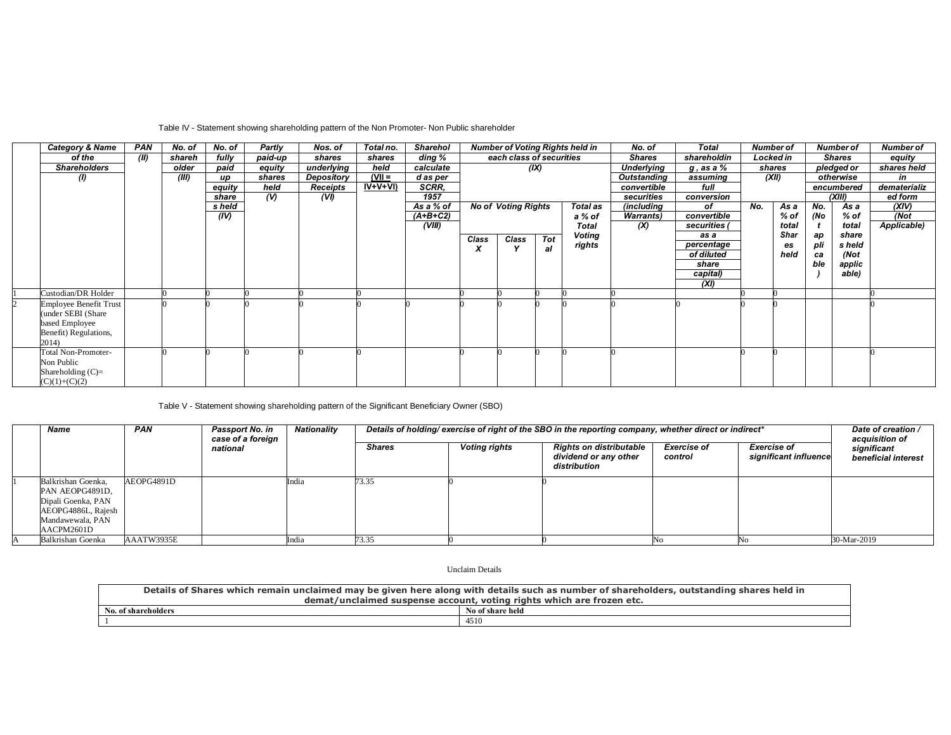## Table IV - Statement showing shareholding pattern of the Non Promoter- Non Public shareholder

| <b>Category &amp; Name</b>    | PAN  | No. of | No. of | Partly  | Nos. of         | Total no. | <b>Sharehol</b> |       |                            |      | <b>Number of Voting Rights held in</b> | No. of            | <b>Total</b>    | <b>Number of</b> |        |     | <b>Number of</b> | <b>Number of</b> |
|-------------------------------|------|--------|--------|---------|-----------------|-----------|-----------------|-------|----------------------------|------|----------------------------------------|-------------------|-----------------|------------------|--------|-----|------------------|------------------|
| of the                        | (II) | shareh | fully  | paid-up | shares          | shares    | ding %          |       | each class of securities   |      |                                        | <b>Shares</b>     | shareholdin     | Locked in        |        |     | <b>Shares</b>    | equity           |
| <b>Shareholders</b>           |      | older  | paid   | equity  | underlying      | held      | calculate       |       |                            | (IX) |                                        | <b>Underlying</b> | $g$ , as a $\%$ |                  | shares |     | pledged or       | shares held      |
| $\omega$                      |      | (III)  | up     | shares  | Depository      | $(VII =$  | d as per        |       |                            |      |                                        | Outstanding       | assuming        | (XII)            |        |     | otherwise        | in               |
|                               |      |        | equity | held    | <b>Receipts</b> | $IV+V+VI$ | SCRR.           |       |                            |      |                                        | convertible       | full            |                  |        |     | encumbered       | dematerializ     |
|                               |      |        | share  | $($ V)  | (VI)            |           | 1957            |       |                            |      |                                        | securities        | conversion      |                  |        |     | (XIII)           | ed form          |
|                               |      |        | s held |         |                 |           | As a % of       |       | <b>No of Voting Rights</b> |      | Total as                               | (including        | of              | No.              | As a   | No. | As a             | (XIV)            |
|                               |      |        | (IV)   |         |                 |           | $(A+B+C2)$      |       |                            |      | a % of                                 | <b>Warrants</b> ) | convertible     |                  | % of   | (No | % of             | (Not             |
|                               |      |        |        |         |                 |           | (VIII)          |       |                            |      | <b>Total</b>                           | (X)               | securities      |                  | total  |     | total            | Applicable)      |
|                               |      |        |        |         |                 |           |                 | Class | Class                      | Tot  | Voting                                 |                   | as a            |                  | Shar   | aр  | share            |                  |
|                               |      |        |        |         |                 |           |                 | x     |                            | al   | rights                                 |                   | percentage      |                  | es     | pli | s held           |                  |
|                               |      |        |        |         |                 |           |                 |       |                            |      |                                        |                   | of diluted      |                  | held   | ca  | (Not             |                  |
|                               |      |        |        |         |                 |           |                 |       |                            |      |                                        |                   | share           |                  |        | ble | applic           |                  |
|                               |      |        |        |         |                 |           |                 |       |                            |      |                                        |                   | capital)        |                  |        |     | able)            |                  |
|                               |      |        |        |         |                 |           |                 |       |                            |      |                                        |                   | (XI)            |                  |        |     |                  |                  |
| Custodian/DR Holder           |      |        |        |         |                 |           |                 |       |                            |      |                                        |                   |                 |                  |        |     |                  |                  |
| <b>Employee Benefit Trust</b> |      |        |        |         |                 |           |                 |       |                            |      |                                        |                   |                 |                  |        |     |                  |                  |
| (under SEBI (Share)           |      |        |        |         |                 |           |                 |       |                            |      |                                        |                   |                 |                  |        |     |                  |                  |
| based Employee                |      |        |        |         |                 |           |                 |       |                            |      |                                        |                   |                 |                  |        |     |                  |                  |
| Benefit) Regulations,         |      |        |        |         |                 |           |                 |       |                            |      |                                        |                   |                 |                  |        |     |                  |                  |
| 2014)                         |      |        |        |         |                 |           |                 |       |                            |      |                                        |                   |                 |                  |        |     |                  |                  |
| <b>Total Non-Promoter-</b>    |      |        |        |         |                 |           |                 |       |                            |      |                                        |                   |                 |                  |        |     |                  |                  |
| Non Public                    |      |        |        |         |                 |           |                 |       |                            |      |                                        |                   |                 |                  |        |     |                  |                  |
| Shareholding $(C)$ =          |      |        |        |         |                 |           |                 |       |                            |      |                                        |                   |                 |                  |        |     |                  |                  |
| $(C)(1)+(C)(2)$               |      |        |        |         |                 |           |                 |       |                            |      |                                        |                   |                 |                  |        |     |                  |                  |

Table V - Statement showing shareholding pattern of the Significant Beneficiary Owner (SBO)

| Name                                                                                                                | <b>PAN</b> | <b>Passport No. in</b><br>case of a foreign | Nationality | Details of holding/ exercise of right of the SBO in the reporting company, whether direct or indirect* | Date of creation /<br>acquisition of |                                                                         |                               |                                             |                                    |
|---------------------------------------------------------------------------------------------------------------------|------------|---------------------------------------------|-------------|--------------------------------------------------------------------------------------------------------|--------------------------------------|-------------------------------------------------------------------------|-------------------------------|---------------------------------------------|------------------------------------|
|                                                                                                                     |            | national                                    |             | <b>Shares</b>                                                                                          | <b>Voting rights</b>                 | <b>Rights on distributable</b><br>dividend or any other<br>distribution | <b>Exercise of</b><br>control | <b>Exercise of</b><br>significant influence | significant<br>beneficial interest |
| Balkrishan Goenka,<br>PAN AEOPG4891D,<br>Dipali Goenka, PAN<br>AEOPG4886L, Rajesh<br>Mandawewala, PAN<br>AACPM2601D | AEOPG4891D |                                             | India       | 73.35                                                                                                  |                                      |                                                                         |                               |                                             |                                    |
| Balkrishan Goenka                                                                                                   | AAATW3935E |                                             | India       | 73.35                                                                                                  |                                      |                                                                         |                               |                                             | 30-Mar-2019                        |

Unclaim Details

| Details of Shares which remain unclaimed may be given here along with details such as number of shareholders, outstanding shares held in |                  |  |  |  |  |  |  |  |
|------------------------------------------------------------------------------------------------------------------------------------------|------------------|--|--|--|--|--|--|--|
| demat/unclaimed suspense account, voting rights which are frozen etc.                                                                    |                  |  |  |  |  |  |  |  |
| No. of shareholders                                                                                                                      | No of share held |  |  |  |  |  |  |  |
|                                                                                                                                          | 4510             |  |  |  |  |  |  |  |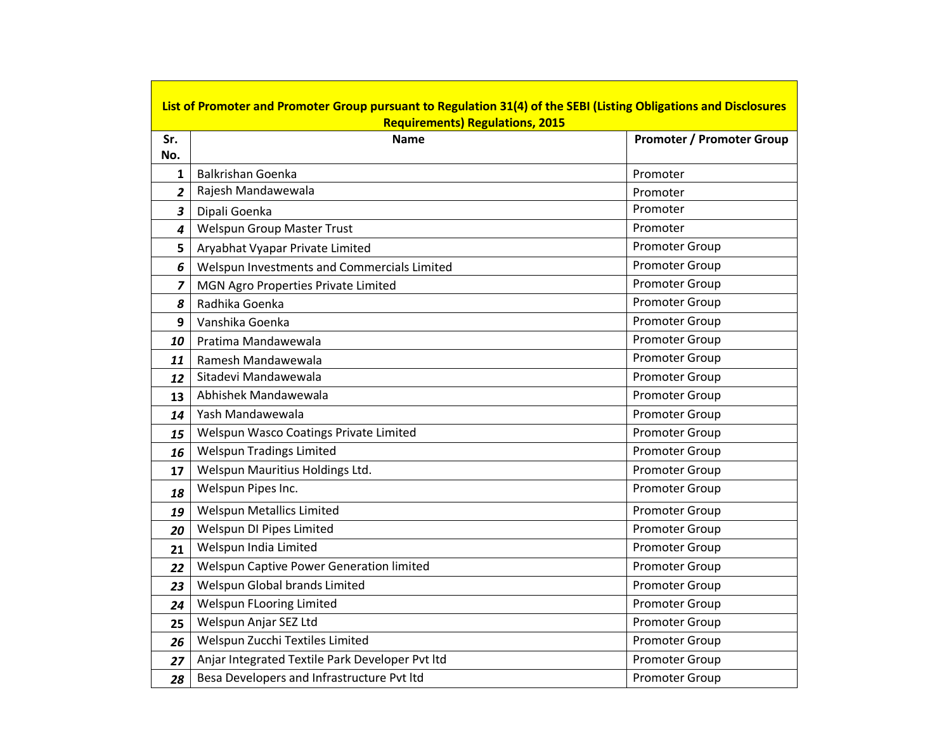|                         | List of Promoter and Promoter Group pursuant to Regulation 31(4) of the SEBI (Listing Obligations and Disclosures<br><b>Requirements) Regulations, 2015</b> |                                  |  |  |  |  |  |  |  |  |
|-------------------------|-------------------------------------------------------------------------------------------------------------------------------------------------------------|----------------------------------|--|--|--|--|--|--|--|--|
| Sr.                     | <b>Name</b>                                                                                                                                                 | <b>Promoter / Promoter Group</b> |  |  |  |  |  |  |  |  |
| No.                     |                                                                                                                                                             |                                  |  |  |  |  |  |  |  |  |
| 1                       | <b>Balkrishan Goenka</b>                                                                                                                                    | Promoter                         |  |  |  |  |  |  |  |  |
| $\overline{2}$          | Rajesh Mandawewala                                                                                                                                          | Promoter                         |  |  |  |  |  |  |  |  |
| $\overline{\mathbf{3}}$ | Dipali Goenka                                                                                                                                               | Promoter                         |  |  |  |  |  |  |  |  |
| 4                       | <b>Welspun Group Master Trust</b>                                                                                                                           | Promoter                         |  |  |  |  |  |  |  |  |
| 5                       | Aryabhat Vyapar Private Limited                                                                                                                             | <b>Promoter Group</b>            |  |  |  |  |  |  |  |  |
| 6                       | Welspun Investments and Commercials Limited                                                                                                                 | <b>Promoter Group</b>            |  |  |  |  |  |  |  |  |
| $\overline{z}$          | MGN Agro Properties Private Limited                                                                                                                         | Promoter Group                   |  |  |  |  |  |  |  |  |
| 8                       | Radhika Goenka                                                                                                                                              | Promoter Group                   |  |  |  |  |  |  |  |  |
| 9                       | Vanshika Goenka                                                                                                                                             | Promoter Group                   |  |  |  |  |  |  |  |  |
| 10                      | Pratima Mandawewala                                                                                                                                         | Promoter Group                   |  |  |  |  |  |  |  |  |
| 11                      | Ramesh Mandawewala                                                                                                                                          | Promoter Group                   |  |  |  |  |  |  |  |  |
| 12                      | Sitadevi Mandawewala                                                                                                                                        | Promoter Group                   |  |  |  |  |  |  |  |  |
| 13                      | Abhishek Mandawewala                                                                                                                                        | Promoter Group                   |  |  |  |  |  |  |  |  |
| 14                      | Yash Mandawewala                                                                                                                                            | Promoter Group                   |  |  |  |  |  |  |  |  |
| 15                      | Welspun Wasco Coatings Private Limited                                                                                                                      | Promoter Group                   |  |  |  |  |  |  |  |  |
| 16                      | <b>Welspun Tradings Limited</b>                                                                                                                             | Promoter Group                   |  |  |  |  |  |  |  |  |
| 17                      | Welspun Mauritius Holdings Ltd.                                                                                                                             | Promoter Group                   |  |  |  |  |  |  |  |  |
| 18                      | Welspun Pipes Inc.                                                                                                                                          | <b>Promoter Group</b>            |  |  |  |  |  |  |  |  |
| 19                      | <b>Welspun Metallics Limited</b>                                                                                                                            | Promoter Group                   |  |  |  |  |  |  |  |  |
| 20                      | Welspun DI Pipes Limited                                                                                                                                    | Promoter Group                   |  |  |  |  |  |  |  |  |
| 21                      | Welspun India Limited                                                                                                                                       | Promoter Group                   |  |  |  |  |  |  |  |  |
| 22                      | Welspun Captive Power Generation limited                                                                                                                    | Promoter Group                   |  |  |  |  |  |  |  |  |
| 23                      | Welspun Global brands Limited                                                                                                                               | Promoter Group                   |  |  |  |  |  |  |  |  |
| 24                      | Welspun FLooring Limited                                                                                                                                    | Promoter Group                   |  |  |  |  |  |  |  |  |
| 25                      | Welspun Anjar SEZ Ltd                                                                                                                                       | Promoter Group                   |  |  |  |  |  |  |  |  |
| 26                      | Welspun Zucchi Textiles Limited                                                                                                                             | Promoter Group                   |  |  |  |  |  |  |  |  |
| 27                      | Anjar Integrated Textile Park Developer Pvt Itd                                                                                                             | Promoter Group                   |  |  |  |  |  |  |  |  |
| 28                      | Besa Developers and Infrastructure Pvt Itd                                                                                                                  | <b>Promoter Group</b>            |  |  |  |  |  |  |  |  |

<u> 1989 - Johann Barnett, fransk politiker (</u>

<u> Tanzania de la contrada de la contrada de la contrada de la contrada de la contrada de la contrada de la con</u>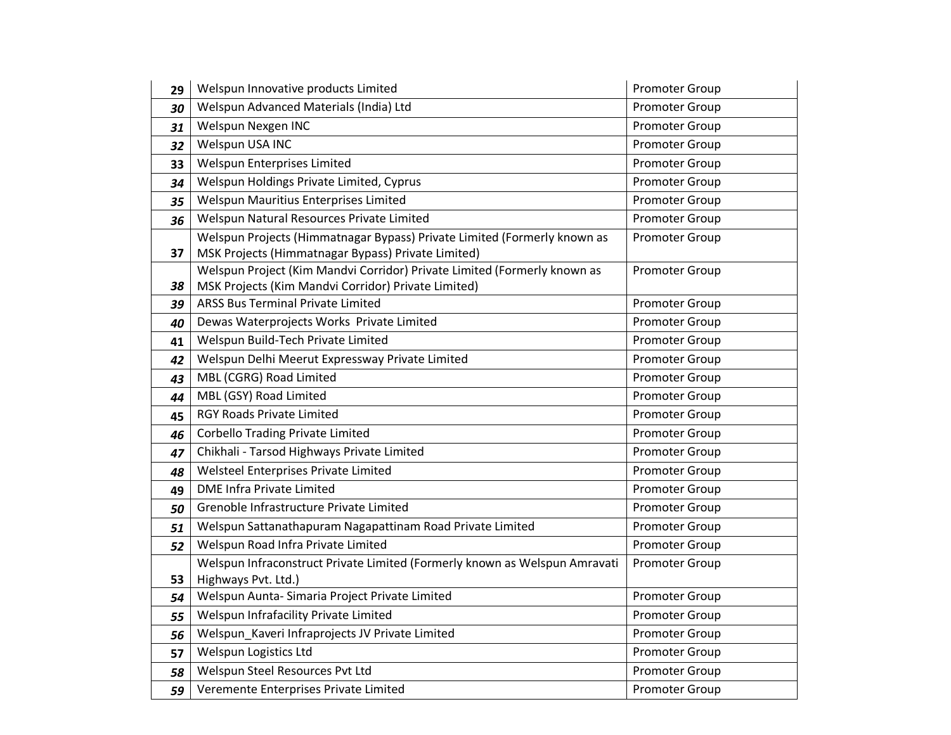| 29 | Welspun Innovative products Limited                                                                                             | Promoter Group        |
|----|---------------------------------------------------------------------------------------------------------------------------------|-----------------------|
| 30 | Welspun Advanced Materials (India) Ltd                                                                                          | Promoter Group        |
| 31 | Welspun Nexgen INC                                                                                                              | Promoter Group        |
| 32 | Welspun USA INC                                                                                                                 | Promoter Group        |
| 33 | Welspun Enterprises Limited                                                                                                     | <b>Promoter Group</b> |
| 34 | Welspun Holdings Private Limited, Cyprus                                                                                        | Promoter Group        |
| 35 | Welspun Mauritius Enterprises Limited                                                                                           | Promoter Group        |
| 36 | Welspun Natural Resources Private Limited                                                                                       | Promoter Group        |
| 37 | Welspun Projects (Himmatnagar Bypass) Private Limited (Formerly known as<br>MSK Projects (Himmatnagar Bypass) Private Limited)  | Promoter Group        |
| 38 | Welspun Project (Kim Mandvi Corridor) Private Limited (Formerly known as<br>MSK Projects (Kim Mandvi Corridor) Private Limited) | Promoter Group        |
| 39 | <b>ARSS Bus Terminal Private Limited</b>                                                                                        | Promoter Group        |
| 40 | Dewas Waterprojects Works Private Limited                                                                                       | Promoter Group        |
| 41 | Welspun Build-Tech Private Limited                                                                                              | <b>Promoter Group</b> |
| 42 | Welspun Delhi Meerut Expressway Private Limited                                                                                 | Promoter Group        |
| 43 | MBL (CGRG) Road Limited                                                                                                         | <b>Promoter Group</b> |
| 44 | MBL (GSY) Road Limited                                                                                                          | Promoter Group        |
| 45 | <b>RGY Roads Private Limited</b>                                                                                                | Promoter Group        |
| 46 | <b>Corbello Trading Private Limited</b>                                                                                         | Promoter Group        |
| 47 | Chikhali - Tarsod Highways Private Limited                                                                                      | Promoter Group        |
| 48 | Welsteel Enterprises Private Limited                                                                                            | <b>Promoter Group</b> |
| 49 | <b>DME Infra Private Limited</b>                                                                                                | Promoter Group        |
| 50 | Grenoble Infrastructure Private Limited                                                                                         | Promoter Group        |
| 51 | Welspun Sattanathapuram Nagapattinam Road Private Limited                                                                       | Promoter Group        |
| 52 | Welspun Road Infra Private Limited                                                                                              | Promoter Group        |
| 53 | Welspun Infraconstruct Private Limited (Formerly known as Welspun Amravati<br>Highways Pvt. Ltd.)                               | Promoter Group        |
| 54 | Welspun Aunta-Simaria Project Private Limited                                                                                   | <b>Promoter Group</b> |
| 55 | Welspun Infrafacility Private Limited                                                                                           | Promoter Group        |
| 56 | Welspun_Kaveri Infraprojects JV Private Limited                                                                                 | Promoter Group        |
| 57 | Welspun Logistics Ltd                                                                                                           | Promoter Group        |
| 58 | Welspun Steel Resources Pvt Ltd                                                                                                 | Promoter Group        |
| 59 | Veremente Enterprises Private Limited                                                                                           | <b>Promoter Group</b> |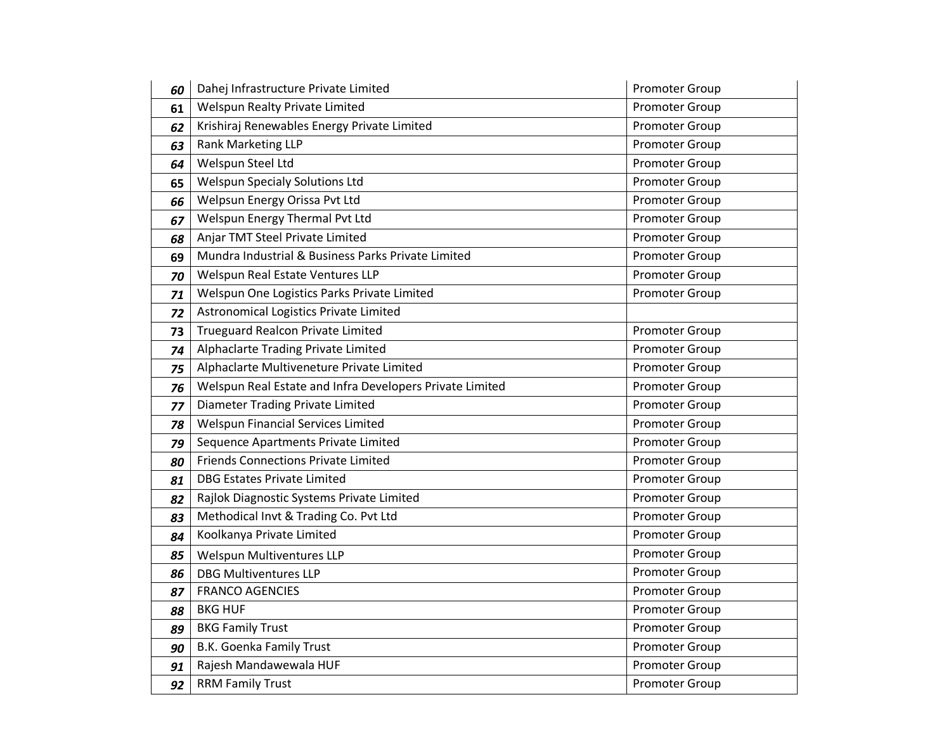| 60 | Dahej Infrastructure Private Limited                     | Promoter Group        |
|----|----------------------------------------------------------|-----------------------|
| 61 | Welspun Realty Private Limited                           | Promoter Group        |
| 62 | Krishiraj Renewables Energy Private Limited              | Promoter Group        |
| 63 | Rank Marketing LLP                                       | Promoter Group        |
| 64 | Welspun Steel Ltd                                        | Promoter Group        |
| 65 | <b>Welspun Specialy Solutions Ltd</b>                    | Promoter Group        |
| 66 | Welpsun Energy Orissa Pvt Ltd                            | Promoter Group        |
| 67 | Welspun Energy Thermal Pvt Ltd                           | Promoter Group        |
| 68 | Anjar TMT Steel Private Limited                          | Promoter Group        |
| 69 | Mundra Industrial & Business Parks Private Limited       | Promoter Group        |
| 70 | Welspun Real Estate Ventures LLP                         | Promoter Group        |
| 71 | Welspun One Logistics Parks Private Limited              | <b>Promoter Group</b> |
| 72 | Astronomical Logistics Private Limited                   |                       |
| 73 | <b>Trueguard Realcon Private Limited</b>                 | Promoter Group        |
| 74 | Alphaclarte Trading Private Limited                      | Promoter Group        |
| 75 | Alphaclarte Multiveneture Private Limited                | Promoter Group        |
| 76 | Welspun Real Estate and Infra Developers Private Limited | Promoter Group        |
| 77 | Diameter Trading Private Limited                         | Promoter Group        |
| 78 | <b>Welspun Financial Services Limited</b>                | Promoter Group        |
| 79 | Sequence Apartments Private Limited                      | Promoter Group        |
| 80 | <b>Friends Connections Private Limited</b>               | Promoter Group        |
| 81 | <b>DBG Estates Private Limited</b>                       | Promoter Group        |
| 82 | Rajlok Diagnostic Systems Private Limited                | Promoter Group        |
| 83 | Methodical Invt & Trading Co. Pvt Ltd                    | Promoter Group        |
| 84 | Koolkanya Private Limited                                | Promoter Group        |
| 85 | Welspun Multiventures LLP                                | Promoter Group        |
| 86 | <b>DBG Multiventures LLP</b>                             | Promoter Group        |
| 87 | <b>FRANCO AGENCIES</b>                                   | Promoter Group        |
| 88 | <b>BKG HUF</b>                                           | Promoter Group        |
| 89 | <b>BKG Family Trust</b>                                  | <b>Promoter Group</b> |
| 90 | B.K. Goenka Family Trust                                 | Promoter Group        |
| 91 | Rajesh Mandawewala HUF                                   | Promoter Group        |
| 92 | <b>RRM Family Trust</b>                                  | Promoter Group        |